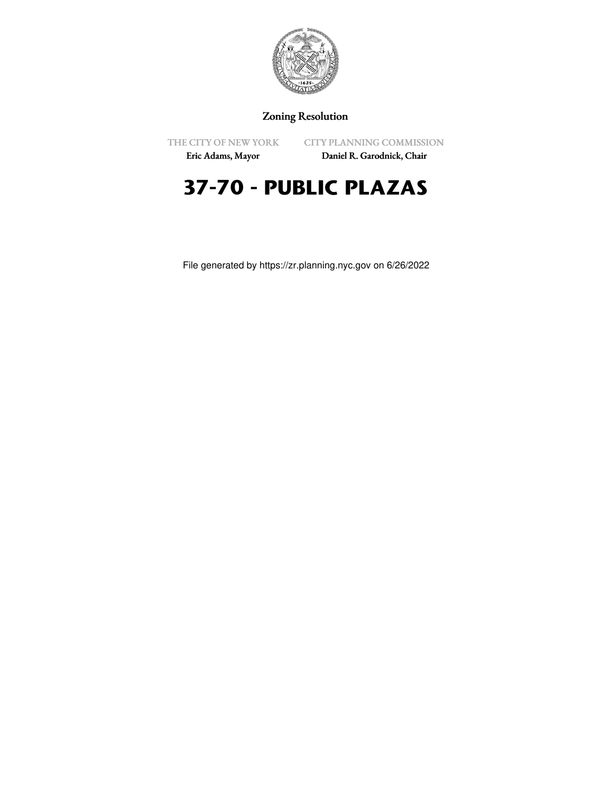

### Zoning Resolution

THE CITY OF NEW YORK

CITY PLANNING COMMISSION

Eric Adams, Mayor

Daniel R. Garodnick, Chair

# **37-70 - PUBLIC PLAZAS**

File generated by https://zr.planning.nyc.gov on 6/26/2022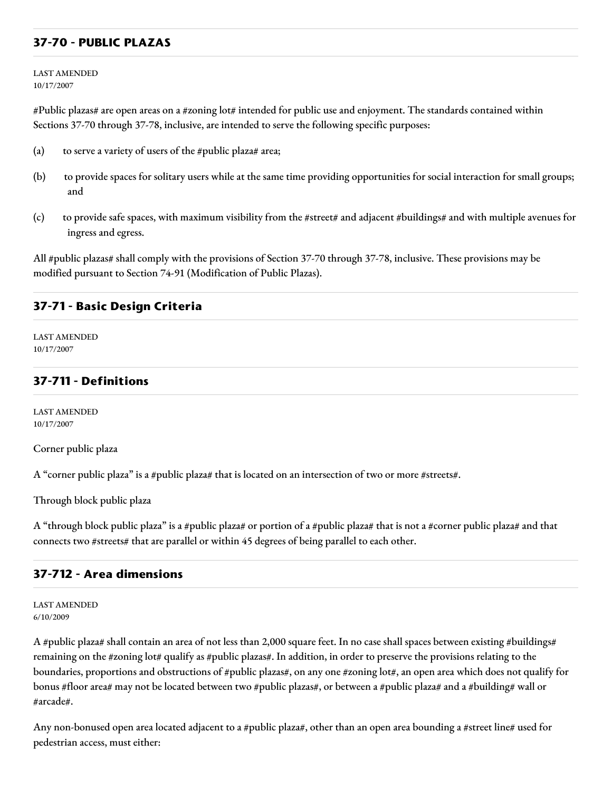### **37-70 - PUBLIC PLAZAS**

LAST AMENDED 10/17/2007

#Public plazas# are open areas on a #zoning lot# intended for public use and enjoyment. The standards contained within Sections 37-70 through 37-78, inclusive, are intended to serve the following specific purposes:

- (a) to serve a variety of users of the #public plaza# area;
- (b) to provide spaces for solitary users while at the same time providing opportunities for social interaction for small groups; and
- (c) to provide safe spaces, with maximum visibility from the #street# and adjacent #buildings# and with multiple avenues for ingress and egress.

All #public plazas# shall comply with the provisions of Section 37-70 through 37-78, inclusive. These provisions may be modified pursuant to Section 74-91 (Modification of Public Plazas).

#### **37-71 - Basic Design Criteria**

LAST AMENDED 10/17/2007

#### **37-711 - Definitions**

LAST AMENDED 10/17/2007

Corner public plaza

A "corner public plaza" is a #public plaza# that is located on an intersection of two or more #streets#.

Through block public plaza

A "through block public plaza" is a #public plaza# or portion of a #public plaza# that is not a #corner public plaza# and that connects two #streets# that are parallel or within 45 degrees of being parallel to each other.

#### **37-712 - Area dimensions**

LAST AMENDED 6/10/2009

A #public plaza# shall contain an area of not less than 2,000 square feet. In no case shall spaces between existing #buildings# remaining on the #zoning lot# qualify as #public plazas#. In addition, in order to preserve the provisions relating to the boundaries, proportions and obstructions of #public plazas#, on any one #zoning lot#, an open area which does not qualify for bonus #floor area# may not be located between two #public plazas#, or between a #public plaza# and a #building# wall or #arcade#.

Any non-bonused open area located adjacent to a #public plaza#, other than an open area bounding a #street line# used for pedestrian access, must either: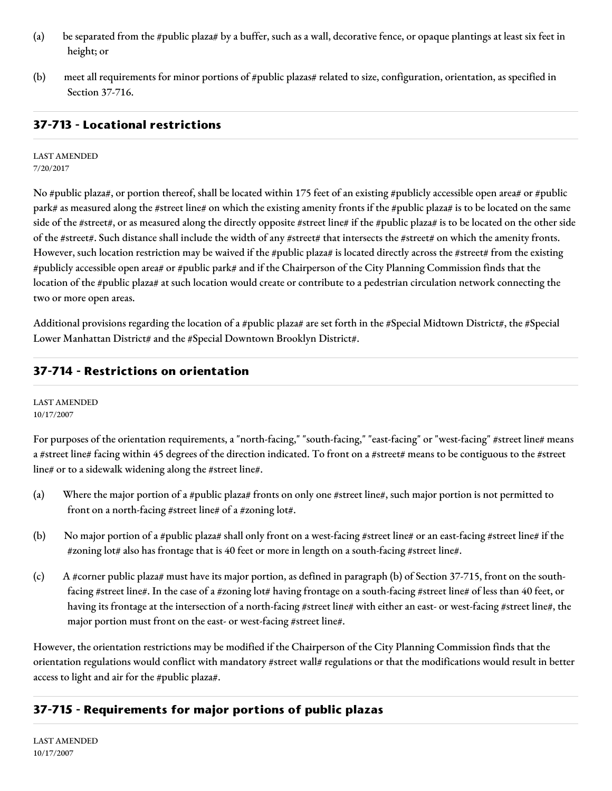- (a) be separated from the #public plaza# by a buffer, such as a wall, decorative fence, or opaque plantings at least six feet in height; or
- (b) meet all requirements for minor portions of #public plazas# related to size, configuration, orientation, as specified in Section 37-716.

# **37-713 - Locational restrictions**

LAST AMENDED 7/20/2017

No #public plaza#, or portion thereof, shall be located within 175 feet of an existing #publicly accessible open area# or #public park# as measured along the #street line# on which the existing amenity fronts if the #public plaza# is to be located on the same side of the #street#, or as measured along the directly opposite #street line# if the #public plaza# is to be located on the other side of the #street#. Such distance shall include the width of any #street# that intersects the #street# on which the amenity fronts. However, such location restriction may be waived if the #public plaza# is located directly across the #street# from the existing #publicly accessible open area# or #public park# and if the Chairperson of the City Planning Commission finds that the location of the #public plaza# at such location would create or contribute to a pedestrian circulation network connecting the two or more open areas.

Additional provisions regarding the location of a #public plaza# are set forth in the #Special Midtown District#, the #Special Lower Manhattan District# and the #Special Downtown Brooklyn District#.

### **37-714 - Restrictions on orientation**

LAST AMENDED 10/17/2007

For purposes of the orientation requirements, a "north-facing," "south-facing," "east-facing" or "west-facing" #street line# means a #street line# facing within 45 degrees of the direction indicated. To front on a #street# means to be contiguous to the #street line# or to a sidewalk widening along the #street line#.

- (a) Where the major portion of a #public plaza# fronts on only one #street line#, such major portion is not permitted to front on a north-facing #street line# of a #zoning lot#.
- (b) No major portion of a #public plaza# shall only front on a west-facing #street line# or an east-facing #street line# if the #zoning lot# also has frontage that is 40 feet or more in length on a south-facing #street line#.
- (c) A #corner public plaza# must have its major portion, as defined in paragraph (b) of Section 37-715, front on the southfacing #street line#. In the case of a #zoning lot# having frontage on a south-facing #street line# of less than 40 feet, or having its frontage at the intersection of a north-facing #street line# with either an east- or west-facing #street line#, the major portion must front on the east- or west-facing #street line#.

However, the orientation restrictions may be modified if the Chairperson of the City Planning Commission finds that the orientation regulations would conflict with mandatory #street wall# regulations or that the modifications would result in better access to light and air for the #public plaza#.

### **37-715 - Requirements for major portions of public plazas**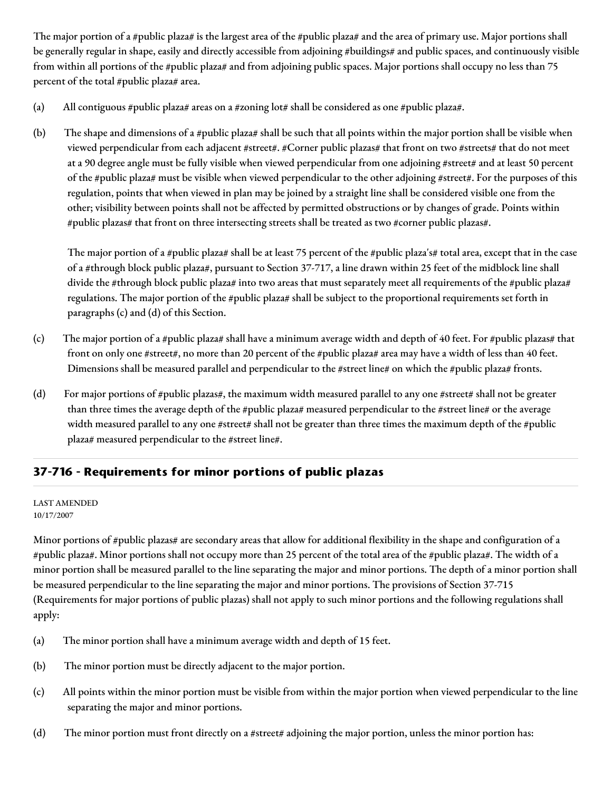The major portion of a #public plaza# is the largest area of the #public plaza# and the area of primary use. Major portions shall be generally regular in shape, easily and directly accessible from adjoining #buildings# and public spaces, and continuously visible from within all portions of the #public plaza# and from adjoining public spaces. Major portions shall occupy no less than 75 percent of the total #public plaza# area.

- (a) All contiguous #public plaza# areas on a #zoning lot# shall be considered as one #public plaza#.
- (b) The shape and dimensions of a #public plaza# shall be such that all points within the major portion shall be visible when viewed perpendicular from each adjacent #street#. #Corner public plazas# that front on two #streets# that do not meet at a 90 degree angle must be fully visible when viewed perpendicular from one adjoining #street# and at least 50 percent of the #public plaza# must be visible when viewed perpendicular to the other adjoining #street#. For the purposes of this regulation, points that when viewed in plan may be joined by a straight line shall be considered visible one from the other; visibility between points shall not be affected by permitted obstructions or by changes of grade. Points within #public plazas# that front on three intersecting streets shall be treated as two #corner public plazas#.

The major portion of a #public plaza# shall be at least 75 percent of the #public plaza's# total area, except that in the case of a #through block public plaza#, pursuant to Section 37-717, a line drawn within 25 feet of the midblock line shall divide the #through block public plaza# into two areas that must separately meet all requirements of the #public plaza# regulations. The major portion of the #public plaza# shall be subject to the proportional requirements set forth in paragraphs (c) and (d) of this Section.

- (c) The major portion of a #public plaza# shall have a minimum average width and depth of 40 feet. For #public plazas# that front on only one #street#, no more than 20 percent of the #public plaza# area may have a width of less than 40 feet. Dimensions shall be measured parallel and perpendicular to the #street line# on which the #public plaza# fronts.
- (d) For major portions of #public plazas#, the maximum width measured parallel to any one #street# shall not be greater than three times the average depth of the #public plaza# measured perpendicular to the #street line# or the average width measured parallel to any one #street# shall not be greater than three times the maximum depth of the #public plaza# measured perpendicular to the #street line#.

# **37-716 - Requirements for minor portions of public plazas**

#### LAST AMENDED 10/17/2007

Minor portions of #public plazas# are secondary areas that allow for additional flexibility in the shape and configuration of a #public plaza#. Minor portions shall not occupy more than 25 percent of the total area of the #public plaza#. The width of a minor portion shall be measured parallel to the line separating the major and minor portions. The depth of a minor portion shall be measured perpendicular to the line separating the major and minor portions. The provisions of Section 37-715 (Requirements for major portions of public plazas) shall not apply to such minor portions and the following regulations shall apply:

- (a) The minor portion shall have a minimum average width and depth of 15 feet.
- (b) The minor portion must be directly adjacent to the major portion.
- (c) All points within the minor portion must be visible from within the major portion when viewed perpendicular to the line separating the major and minor portions.
- (d) The minor portion must front directly on a #street# adjoining the major portion, unless the minor portion has: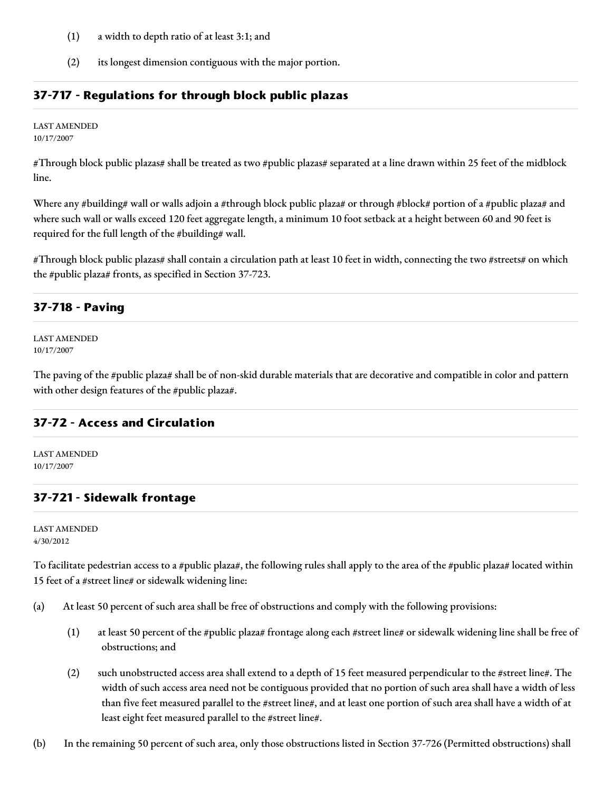- (1) a width to depth ratio of at least 3:1; and
- (2) its longest dimension contiguous with the major portion.

### **37-717 - Regulations for through block public plazas**

LAST AMENDED

10/17/2007

#Through block public plazas# shall be treated as two #public plazas# separated at a line drawn within 25 feet of the midblock line.

Where any #building# wall or walls adjoin a #through block public plaza# or through #block# portion of a #public plaza# and where such wall or walls exceed 120 feet aggregate length, a minimum 10 foot setback at a height between 60 and 90 feet is required for the full length of the #building# wall.

#Through block public plazas# shall contain a circulation path at least 10 feet in width, connecting the two #streets# on which the #public plaza# fronts, as specified in Section 37-723.

### **37-718 - Paving**

LAST AMENDED 10/17/2007

The paving of the #public plaza# shall be of non-skid durable materials that are decorative and compatible in color and pattern with other design features of the #public plaza#.

### **37-72 - Access and Circulation**

LAST AMENDED 10/17/2007

### **37-721 - Sidewalk frontage**

LAST AMENDED 4/30/2012

To facilitate pedestrian access to a #public plaza#, the following rules shall apply to the area of the #public plaza# located within 15 feet of a #street line# or sidewalk widening line:

- (a) At least 50 percent of such area shall be free of obstructions and comply with the following provisions:
	- (1) at least 50 percent of the #public plaza# frontage along each #street line# or sidewalk widening line shall be free of obstructions; and
	- (2) such unobstructed access area shall extend to a depth of 15 feet measured perpendicular to the #street line#. The width of such access area need not be contiguous provided that no portion of such area shall have a width of less than five feet measured parallel to the #street line#, and at least one portion of such area shall have a width of at least eight feet measured parallel to the #street line#.
- (b) In the remaining 50 percent of such area, only those obstructions listed in Section 37-726 (Permitted obstructions) shall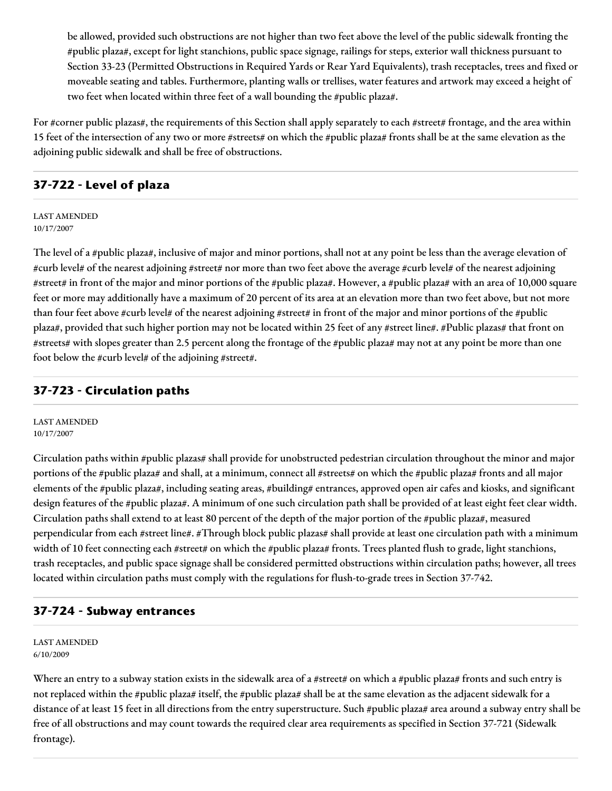be allowed, provided such obstructions are not higher than two feet above the level of the public sidewalk fronting the #public plaza#, except for light stanchions, public space signage, railings for steps, exterior wall thickness pursuant to Section 33-23 (Permitted Obstructions in Required Yards or Rear Yard Equivalents), trash receptacles, trees and fixed or moveable seating and tables. Furthermore, planting walls or trellises, water features and artwork may exceed a height of two feet when located within three feet of a wall bounding the #public plaza#.

For #corner public plazas#, the requirements of this Section shall apply separately to each #street# frontage, and the area within 15 feet of the intersection of any two or more #streets# on which the #public plaza# fronts shall be at the same elevation as the adjoining public sidewalk and shall be free of obstructions.

### **37-722 - Level of plaza**

#### LAST AMENDED 10/17/2007

The level of a #public plaza#, inclusive of major and minor portions, shall not at any point be less than the average elevation of #curb level# of the nearest adjoining #street# nor more than two feet above the average #curb level# of the nearest adjoining #street# in front of the major and minor portions of the #public plaza#. However, a #public plaza# with an area of 10,000 square feet or more may additionally have a maximum of 20 percent of its area at an elevation more than two feet above, but not more than four feet above #curb level# of the nearest adjoining #street# in front of the major and minor portions of the #public plaza#, provided that such higher portion may not be located within 25 feet of any #street line#. #Public plazas# that front on #streets# with slopes greater than 2.5 percent along the frontage of the #public plaza# may not at any point be more than one foot below the #curb level# of the adjoining #street#.

### **37-723 - Circulation paths**

LAST AMENDED 10/17/2007

Circulation paths within #public plazas# shall provide for unobstructed pedestrian circulation throughout the minor and major portions of the #public plaza# and shall, at a minimum, connect all #streets# on which the #public plaza# fronts and all major elements of the #public plaza#, including seating areas, #building# entrances, approved open air cafes and kiosks, and significant design features of the #public plaza#. A minimum of one such circulation path shall be provided of at least eight feet clear width. Circulation paths shall extend to at least 80 percent of the depth of the major portion of the #public plaza#, measured perpendicular from each #street line#. #Through block public plazas# shall provide at least one circulation path with a minimum width of 10 feet connecting each #street# on which the #public plaza# fronts. Trees planted flush to grade, light stanchions, trash receptacles, and public space signage shall be considered permitted obstructions within circulation paths; however, all trees located within circulation paths must comply with the regulations for flush-to-grade trees in Section 37-742.

### **37-724 - Subway entrances**

LAST AMENDED 6/10/2009

Where an entry to a subway station exists in the sidewalk area of a #street# on which a #public plaza# fronts and such entry is not replaced within the #public plaza# itself, the #public plaza# shall be at the same elevation as the adjacent sidewalk for a distance of at least 15 feet in all directions from the entry superstructure. Such #public plaza# area around a subway entry shall be free of all obstructions and may count towards the required clear area requirements as specified in Section 37-721 (Sidewalk frontage).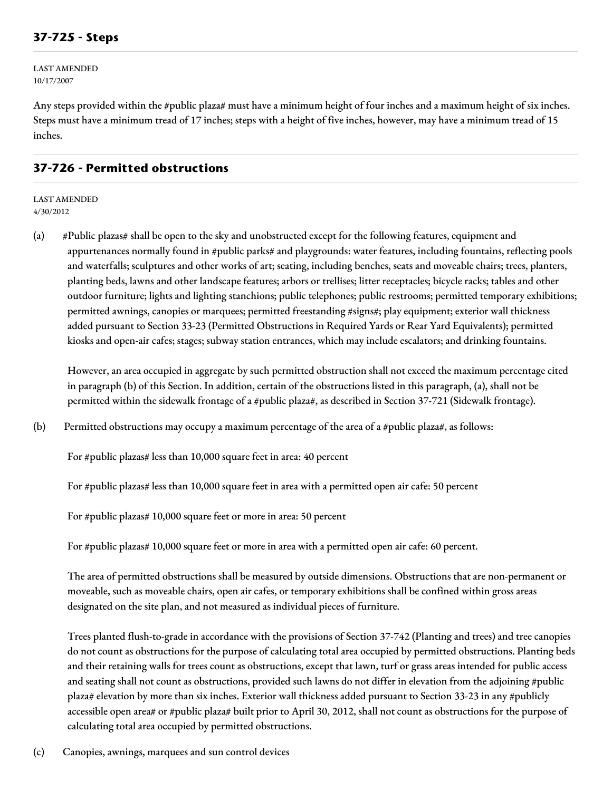LAST AMENDED 10/17/2007

Any steps provided within the #public plaza# must have a minimum height of four inches and a maximum height of six inches. Steps must have a minimum tread of 17 inches; steps with a height of five inches, however, may have a minimum tread of 15 inches.

### **37-726 - Permitted obstructions**

LAST AMENDED 4/30/2012

(a) #Public plazas# shall be open to the sky and unobstructed except for the following features, equipment and appurtenances normally found in #public parks# and playgrounds: water features, including fountains, reflecting pools and waterfalls; sculptures and other works of art; seating, including benches, seats and moveable chairs; trees, planters, planting beds, lawns and other landscape features; arbors or trellises; litter receptacles; bicycle racks; tables and other outdoor furniture; lights and lighting stanchions; public telephones; public restrooms; permitted temporary exhibitions; permitted awnings, canopies or marquees; permitted freestanding #signs#; play equipment; exterior wall thickness added pursuant to Section 33-23 (Permitted Obstructions in Required Yards or Rear Yard Equivalents); permitted kiosks and open-air cafes; stages; subway station entrances, which may include escalators; and drinking fountains.

However, an area occupied in aggregate by such permitted obstruction shall not exceed the maximum percentage cited in paragraph (b) of this Section. In addition, certain of the obstructions listed in this paragraph, (a), shall not be permitted within the sidewalk frontage of a #public plaza#, as described in Section 37-721 (Sidewalk frontage).

(b) Permitted obstructions may occupy a maximum percentage of the area of a #public plaza#, as follows:

For #public plazas# less than 10,000 square feet in area: 40 percent

For #public plazas# less than 10,000 square feet in area with a permitted open air cafe: 50 percent

For #public plazas# 10,000 square feet or more in area: 50 percent

For #public plazas# 10,000 square feet or more in area with a permitted open air cafe: 60 percent.

The area of permitted obstructions shall be measured by outside dimensions. Obstructions that are non-permanent or moveable, such as moveable chairs, open air cafes, or temporary exhibitions shall be confined within gross areas designated on the site plan, and not measured as individual pieces of furniture.

Trees planted flush-to-grade in accordance with the provisions of Section 37-742 (Planting and trees) and tree canopies do not count as obstructions for the purpose of calculating total area occupied by permitted obstructions. Planting beds and their retaining walls for trees count as obstructions, except that lawn, turf or grass areas intended for public access and seating shall not count as obstructions, provided such lawns do not differ in elevation from the adjoining #public plaza# elevation by more than six inches. Exterior wall thickness added pursuant to Section 33-23 in any #publicly accessible open area# or #public plaza# built prior to April 30, 2012, shall not count as obstructions for the purpose of calculating total area occupied by permitted obstructions.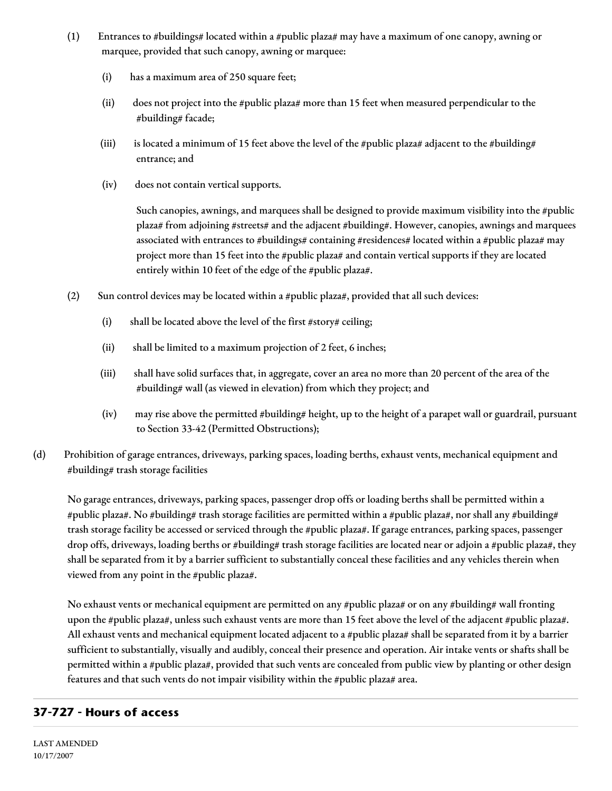- (1) Entrances to #buildings# located within a #public plaza# may have a maximum of one canopy, awning or marquee, provided that such canopy, awning or marquee:
	- (i) has a maximum area of 250 square feet;
	- (ii) does not project into the #public plaza# more than 15 feet when measured perpendicular to the #building# facade;
	- (iii) is located a minimum of 15 feet above the level of the #public plaza# adjacent to the #building# entrance; and
	- (iv) does not contain vertical supports.

Such canopies, awnings, and marquees shall be designed to provide maximum visibility into the #public plaza# from adjoining #streets# and the adjacent #building#. However, canopies, awnings and marquees associated with entrances to #buildings# containing #residences# located within a #public plaza# may project more than 15 feet into the #public plaza# and contain vertical supports if they are located entirely within 10 feet of the edge of the #public plaza#.

- (2) Sun control devices may be located within a #public plaza#, provided that all such devices:
	- (i) shall be located above the level of the first #story# ceiling;
	- (ii) shall be limited to a maximum projection of 2 feet, 6 inches;
	- (iii) shall have solid surfaces that, in aggregate, cover an area no more than 20 percent of the area of the #building# wall (as viewed in elevation) from which they project; and
	- (iv) may rise above the permitted #building# height, up to the height of a parapet wall or guardrail, pursuant to Section 33-42 (Permitted Obstructions);
- (d) Prohibition of garage entrances, driveways, parking spaces, loading berths, exhaust vents, mechanical equipment and #building# trash storage facilities

No garage entrances, driveways, parking spaces, passenger drop offs or loading berths shall be permitted within a #public plaza#. No #building# trash storage facilities are permitted within a #public plaza#, nor shall any #building# trash storage facility be accessed or serviced through the #public plaza#. If garage entrances, parking spaces, passenger drop offs, driveways, loading berths or #building# trash storage facilities are located near or adjoin a #public plaza#, they shall be separated from it by a barrier sufficient to substantially conceal these facilities and any vehicles therein when viewed from any point in the #public plaza#.

No exhaust vents or mechanical equipment are permitted on any #public plaza# or on any #building# wall fronting upon the #public plaza#, unless such exhaust vents are more than 15 feet above the level of the adjacent #public plaza#. All exhaust vents and mechanical equipment located adjacent to a #public plaza# shall be separated from it by a barrier sufficient to substantially, visually and audibly, conceal their presence and operation. Air intake vents or shafts shall be permitted within a #public plaza#, provided that such vents are concealed from public view by planting or other design features and that such vents do not impair visibility within the #public plaza# area.

# **37-727 - Hours of access**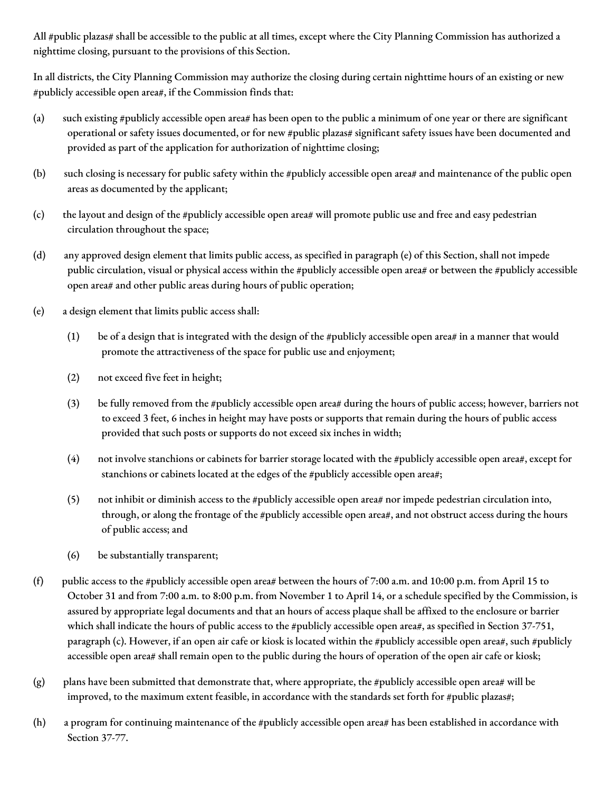All #public plazas# shall be accessible to the public at all times, except where the City Planning Commission has authorized a nighttime closing, pursuant to the provisions of this Section.

In all districts, the City Planning Commission may authorize the closing during certain nighttime hours of an existing or new #publicly accessible open area#, if the Commission finds that:

- (a) such existing #publicly accessible open area# has been open to the public a minimum of one year or there are significant operational or safety issues documented, or for new #public plazas# significant safety issues have been documented and provided as part of the application for authorization of nighttime closing;
- (b) such closing is necessary for public safety within the #publicly accessible open area# and maintenance of the public open areas as documented by the applicant;
- (c) the layout and design of the #publicly accessible open area# will promote public use and free and easy pedestrian circulation throughout the space;
- (d) any approved design element that limits public access, as specified in paragraph (e) of this Section, shall not impede public circulation, visual or physical access within the #publicly accessible open area# or between the #publicly accessible open area# and other public areas during hours of public operation;
- (e) a design element that limits public access shall:
	- (1) be of a design that is integrated with the design of the #publicly accessible open area# in a manner that would promote the attractiveness of the space for public use and enjoyment;
	- (2) not exceed five feet in height;
	- (3) be fully removed from the #publicly accessible open area# during the hours of public access; however, barriers not to exceed 3 feet, 6 inches in height may have posts or supports that remain during the hours of public access provided that such posts or supports do not exceed six inches in width;
	- (4) not involve stanchions or cabinets for barrier storage located with the #publicly accessible open area#, except for stanchions or cabinets located at the edges of the #publicly accessible open area#;
	- (5) not inhibit or diminish access to the #publicly accessible open area# nor impede pedestrian circulation into, through, or along the frontage of the #publicly accessible open area#, and not obstruct access during the hours of public access; and
	- (6) be substantially transparent;
- (f) public access to the #publicly accessible open area# between the hours of 7:00 a.m. and 10:00 p.m. from April 15 to October 31 and from 7:00 a.m. to 8:00 p.m. from November 1 to April 14, or a schedule specified by the Commission, is assured by appropriate legal documents and that an hours of access plaque shall be affixed to the enclosure or barrier which shall indicate the hours of public access to the #publicly accessible open area#, as specified in Section 37-751, paragraph (c). However, if an open air cafe or kiosk is located within the #publicly accessible open area#, such #publicly accessible open area# shall remain open to the public during the hours of operation of the open air cafe or kiosk;
- (g) plans have been submitted that demonstrate that, where appropriate, the #publicly accessible open area# will be improved, to the maximum extent feasible, in accordance with the standards set forth for #public plazas#;
- (h) a program for continuing maintenance of the #publicly accessible open area# has been established in accordance with Section 37-77.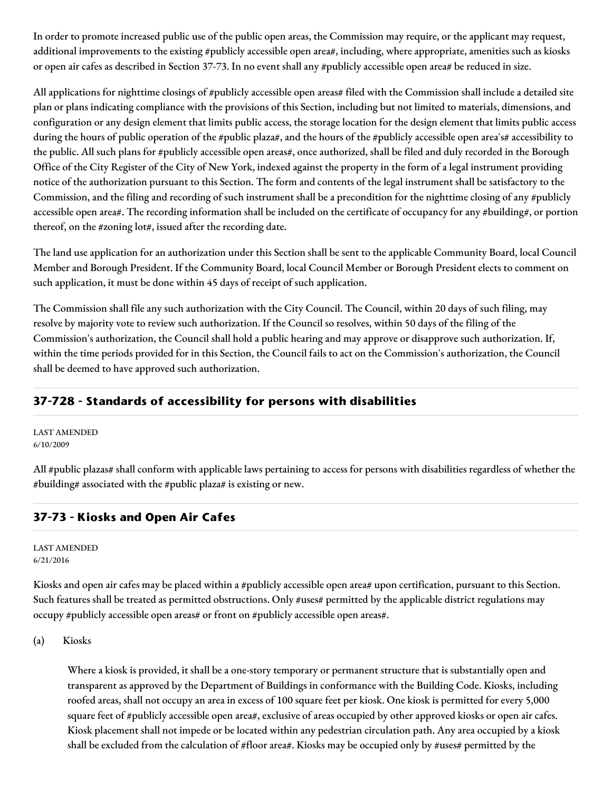In order to promote increased public use of the public open areas, the Commission may require, or the applicant may request, additional improvements to the existing #publicly accessible open area#, including, where appropriate, amenities such as kiosks or open air cafes as described in Section 37-73. In no event shall any #publicly accessible open area# be reduced in size.

All applications for nighttime closings of #publicly accessible open areas# filed with the Commission shall include a detailed site plan or plans indicating compliance with the provisions of this Section, including but not limited to materials, dimensions, and configuration or any design element that limits public access, the storage location for the design element that limits public access during the hours of public operation of the #public plaza#, and the hours of the #publicly accessible open area's# accessibility to the public. All such plans for #publicly accessible open areas#, once authorized, shall be filed and duly recorded in the Borough Office of the City Register of the City of New York, indexed against the property in the form of a legal instrument providing notice of the authorization pursuant to this Section. The form and contents of the legal instrument shall be satisfactory to the Commission, and the filing and recording of such instrument shall be a precondition for the nighttime closing of any #publicly accessible open area#. The recording information shall be included on the certificate of occupancy for any #building#, or portion thereof, on the #zoning lot#, issued after the recording date.

The land use application for an authorization under this Section shall be sent to the applicable Community Board, local Council Member and Borough President. If the Community Board, local Council Member or Borough President elects to comment on such application, it must be done within 45 days of receipt of such application.

The Commission shall file any such authorization with the City Council. The Council, within 20 days of such filing, may resolve by majority vote to review such authorization. If the Council so resolves, within 50 days of the filing of the Commission's authorization, the Council shall hold a public hearing and may approve or disapprove such authorization. If, within the time periods provided for in this Section, the Council fails to act on the Commission's authorization, the Council shall be deemed to have approved such authorization.

# **37-728 - Standards of accessibility for persons with disabilities**

LAST AMENDED 6/10/2009

All #public plazas# shall conform with applicable laws pertaining to access for persons with disabilities regardless of whether the #building# associated with the #public plaza# is existing or new.

### **37-73 - Kiosks and Open Air Cafes**

LAST AMENDED 6/21/2016

Kiosks and open air cafes may be placed within a #publicly accessible open area# upon certification, pursuant to this Section. Such features shall be treated as permitted obstructions. Only #uses# permitted by the applicable district regulations may occupy #publicly accessible open areas# or front on #publicly accessible open areas#.

(a) Kiosks

Where a kiosk is provided, it shall be a one-story temporary or permanent structure that is substantially open and transparent as approved by the Department of Buildings in conformance with the Building Code. Kiosks, including roofed areas, shall not occupy an area in excess of 100 square feet per kiosk. One kiosk is permitted for every 5,000 square feet of #publicly accessible open area#, exclusive of areas occupied by other approved kiosks or open air cafes. Kiosk placement shall not impede or be located within any pedestrian circulation path. Any area occupied by a kiosk shall be excluded from the calculation of #floor area#. Kiosks may be occupied only by #uses# permitted by the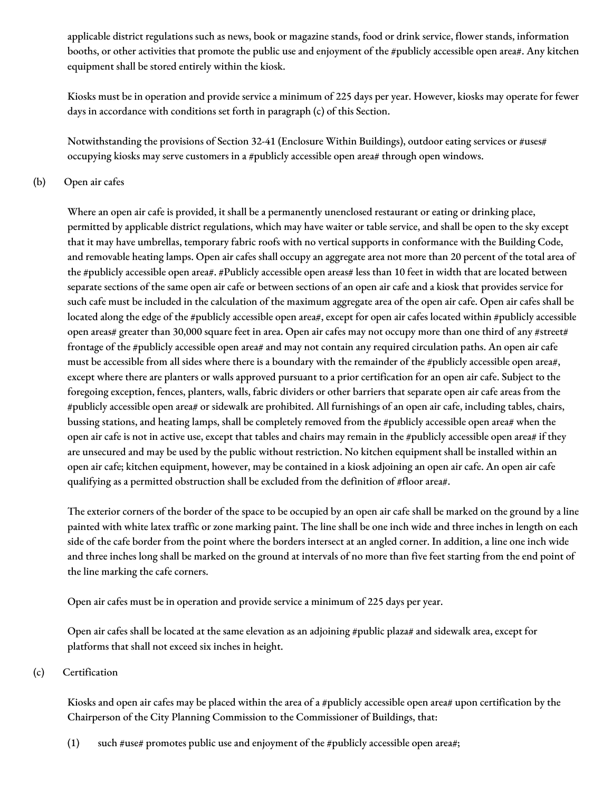applicable district regulations such as news, book or magazine stands, food or drink service, flower stands, information booths, or other activities that promote the public use and enjoyment of the #publicly accessible open area#. Any kitchen equipment shall be stored entirely within the kiosk.

Kiosks must be in operation and provide service a minimum of 225 days per year. However, kiosks may operate for fewer days in accordance with conditions set forth in paragraph (c) of this Section.

Notwithstanding the provisions of Section 32-41 (Enclosure Within Buildings), outdoor eating services or #uses# occupying kiosks may serve customers in a #publicly accessible open area# through open windows.

#### (b) Open air cafes

Where an open air cafe is provided, it shall be a permanently unenclosed restaurant or eating or drinking place, permitted by applicable district regulations, which may have waiter or table service, and shall be open to the sky except that it may have umbrellas, temporary fabric roofs with no vertical supports in conformance with the Building Code, and removable heating lamps. Open air cafes shall occupy an aggregate area not more than 20 percent of the total area of the #publicly accessible open area#. #Publicly accessible open areas# less than 10 feet in width that are located between separate sections of the same open air cafe or between sections of an open air cafe and a kiosk that provides service for such cafe must be included in the calculation of the maximum aggregate area of the open air cafe. Open air cafes shall be located along the edge of the #publicly accessible open area#, except for open air cafes located within #publicly accessible open areas# greater than 30,000 square feet in area. Open air cafes may not occupy more than one third of any #street# frontage of the #publicly accessible open area# and may not contain any required circulation paths. An open air cafe must be accessible from all sides where there is a boundary with the remainder of the #publicly accessible open area#, except where there are planters or walls approved pursuant to a prior certification for an open air cafe. Subject to the foregoing exception, fences, planters, walls, fabric dividers or other barriers that separate open air cafe areas from the #publicly accessible open area# or sidewalk are prohibited. All furnishings of an open air cafe, including tables, chairs, bussing stations, and heating lamps, shall be completely removed from the #publicly accessible open area# when the open air cafe is not in active use, except that tables and chairs may remain in the #publicly accessible open area# if they are unsecured and may be used by the public without restriction. No kitchen equipment shall be installed within an open air cafe; kitchen equipment, however, may be contained in a kiosk adjoining an open air cafe. An open air cafe qualifying as a permitted obstruction shall be excluded from the definition of #floor area#.

The exterior corners of the border of the space to be occupied by an open air cafe shall be marked on the ground by a line painted with white latex traffic or zone marking paint. The line shall be one inch wide and three inches in length on each side of the cafe border from the point where the borders intersect at an angled corner. In addition, a line one inch wide and three inches long shall be marked on the ground at intervals of no more than five feet starting from the end point of the line marking the cafe corners.

Open air cafes must be in operation and provide service a minimum of 225 days per year.

Open air cafes shall be located at the same elevation as an adjoining #public plaza# and sidewalk area, except for platforms that shall not exceed six inches in height.

(c) Certification

Kiosks and open air cafes may be placed within the area of a #publicly accessible open area# upon certification by the Chairperson of the City Planning Commission to the Commissioner of Buildings, that:

(1) such  $\#use\#$  promotes public use and enjoyment of the  $\#$ publicly accessible open area#;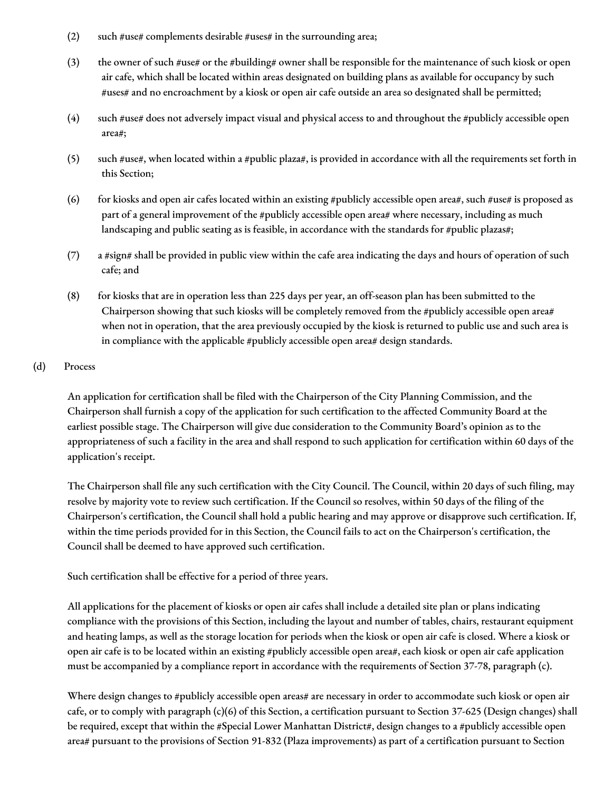- (2) such  $\#$ use $\#$  complements desirable  $\#$ uses $\#$  in the surrounding area;
- (3) the owner of such #use# or the #building# owner shall be responsible for the maintenance of such kiosk or open air cafe, which shall be located within areas designated on building plans as available for occupancy by such #uses# and no encroachment by a kiosk or open air cafe outside an area so designated shall be permitted;
- (4) such #use# does not adversely impact visual and physical access to and throughout the #publicly accessible open area#;
- (5) such #use#, when located within a #public plaza#, is provided in accordance with all the requirements set forth in this Section;
- (6) for kiosks and open air cafes located within an existing #publicly accessible open area#, such #use# is proposed as part of a general improvement of the #publicly accessible open area# where necessary, including as much landscaping and public seating as is feasible, in accordance with the standards for #public plazas#;
- (7) a #sign# shall be provided in public view within the cafe area indicating the days and hours of operation of such cafe; and
- (8) for kiosks that are in operation less than 225 days per year, an off-season plan has been submitted to the Chairperson showing that such kiosks will be completely removed from the #publicly accessible open area# when not in operation, that the area previously occupied by the kiosk is returned to public use and such area is in compliance with the applicable #publicly accessible open area# design standards.

#### (d) Process

An application for certification shall be filed with the Chairperson of the City Planning Commission, and the Chairperson shall furnish a copy of the application for such certification to the affected Community Board at the earliest possible stage. The Chairperson will give due consideration to the Community Board's opinion as to the appropriateness of such a facility in the area and shall respond to such application for certification within 60 days of the application's receipt.

The Chairperson shall file any such certification with the City Council. The Council, within 20 days of such filing, may resolve by majority vote to review such certification. If the Council so resolves, within 50 days of the filing of the Chairperson's certification, the Council shall hold a public hearing and may approve or disapprove such certification. If, within the time periods provided for in this Section, the Council fails to act on the Chairperson's certification, the Council shall be deemed to have approved such certification.

Such certification shall be effective for a period of three years.

All applications for the placement of kiosks or open air cafes shall include a detailed site plan or plans indicating compliance with the provisions of this Section, including the layout and number of tables, chairs, restaurant equipment and heating lamps, as well as the storage location for periods when the kiosk or open air cafe is closed. Where a kiosk or open air cafe is to be located within an existing #publicly accessible open area#, each kiosk or open air cafe application must be accompanied by a compliance report in accordance with the requirements of Section 37-78, paragraph (c).

Where design changes to #publicly accessible open areas# are necessary in order to accommodate such kiosk or open air cafe, or to comply with paragraph (c)(6) of this Section, a certification pursuant to Section 37-625 (Design changes) shall be required, except that within the #Special Lower Manhattan District#, design changes to a #publicly accessible open area# pursuant to the provisions of Section 91-832 (Plaza improvements) as part of a certification pursuant to Section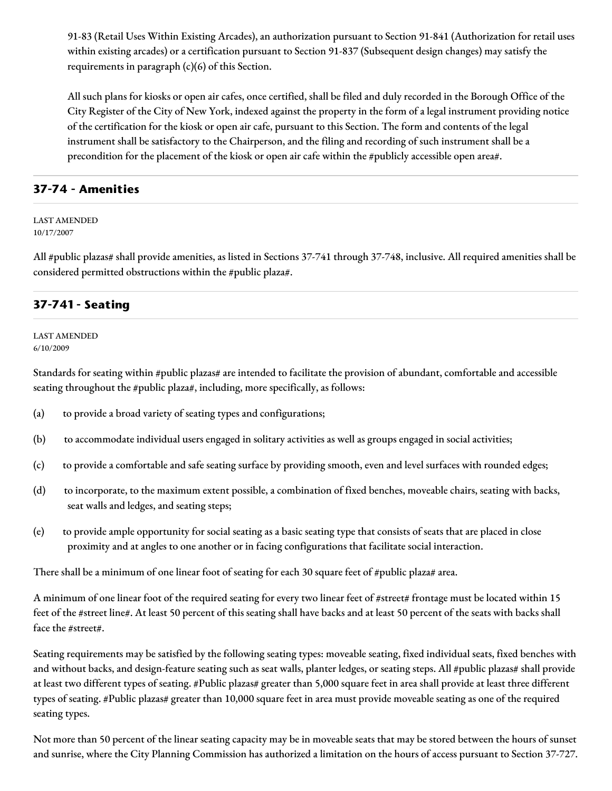91-83 (Retail Uses Within Existing Arcades), an authorization pursuant to Section 91-841 (Authorization for retail uses within existing arcades) or a certification pursuant to Section 91-837 (Subsequent design changes) may satisfy the requirements in paragraph (c)(6) of this Section.

All such plans for kiosks or open air cafes, once certified, shall be filed and duly recorded in the Borough Office of the City Register of the City of New York, indexed against the property in the form of a legal instrument providing notice of the certification for the kiosk or open air cafe, pursuant to this Section. The form and contents of the legal instrument shall be satisfactory to the Chairperson, and the filing and recording of such instrument shall be a precondition for the placement of the kiosk or open air cafe within the #publicly accessible open area#.

### **37-74 - Amenities**

LAST AMENDED 10/17/2007

All #public plazas# shall provide amenities, as listed in Sections 37-741 through 37-748, inclusive. All required amenities shall be considered permitted obstructions within the #public plaza#.

### **37-741 - Seating**

LAST AMENDED 6/10/2009

Standards for seating within #public plazas# are intended to facilitate the provision of abundant, comfortable and accessible seating throughout the #public plaza#, including, more specifically, as follows:

- (a) to provide a broad variety of seating types and configurations;
- (b) to accommodate individual users engaged in solitary activities as well as groups engaged in social activities;
- (c) to provide a comfortable and safe seating surface by providing smooth, even and level surfaces with rounded edges;
- (d) to incorporate, to the maximum extent possible, a combination of fixed benches, moveable chairs, seating with backs, seat walls and ledges, and seating steps;
- (e) to provide ample opportunity for social seating as a basic seating type that consists of seats that are placed in close proximity and at angles to one another or in facing configurations that facilitate social interaction.

There shall be a minimum of one linear foot of seating for each 30 square feet of #public plaza# area.

A minimum of one linear foot of the required seating for every two linear feet of #street# frontage must be located within 15 feet of the #street line#. At least 50 percent of this seating shall have backs and at least 50 percent of the seats with backs shall face the #street#.

Seating requirements may be satisfied by the following seating types: moveable seating, fixed individual seats, fixed benches with and without backs, and design-feature seating such as seat walls, planter ledges, or seating steps. All #public plazas# shall provide at least two different types of seating. #Public plazas# greater than 5,000 square feet in area shall provide at least three different types of seating. #Public plazas# greater than 10,000 square feet in area must provide moveable seating as one of the required seating types.

Not more than 50 percent of the linear seating capacity may be in moveable seats that may be stored between the hours of sunset and sunrise, where the City Planning Commission has authorized a limitation on the hours of access pursuant to Section 37-727.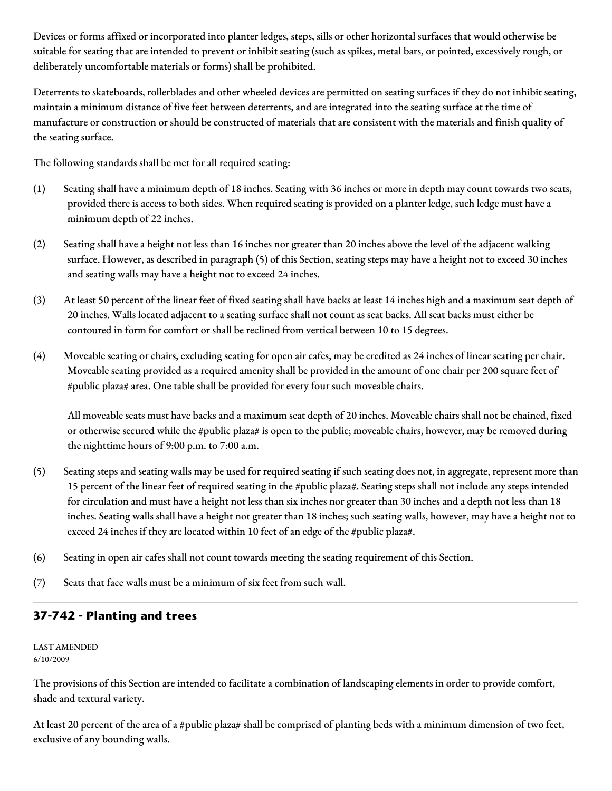Devices or forms affixed or incorporated into planter ledges, steps, sills or other horizontal surfaces that would otherwise be suitable for seating that are intended to prevent or inhibit seating (such as spikes, metal bars, or pointed, excessively rough, or deliberately uncomfortable materials or forms) shall be prohibited.

Deterrents to skateboards, rollerblades and other wheeled devices are permitted on seating surfaces if they do not inhibit seating, maintain a minimum distance of five feet between deterrents, and are integrated into the seating surface at the time of manufacture or construction or should be constructed of materials that are consistent with the materials and finish quality of the seating surface.

The following standards shall be met for all required seating:

- (1) Seating shall have a minimum depth of 18 inches. Seating with 36 inches or more in depth may count towards two seats, provided there is access to both sides. When required seating is provided on a planter ledge, such ledge must have a minimum depth of 22 inches.
- (2) Seating shall have a height not less than 16 inches nor greater than 20 inches above the level of the adjacent walking surface. However, as described in paragraph (5) of this Section, seating steps may have a height not to exceed 30 inches and seating walls may have a height not to exceed 24 inches.
- (3) At least 50 percent of the linear feet of fixed seating shall have backs at least 14 inches high and a maximum seat depth of 20 inches. Walls located adjacent to a seating surface shall not count as seat backs. All seat backs must either be contoured in form for comfort or shall be reclined from vertical between 10 to 15 degrees.
- (4) Moveable seating or chairs, excluding seating for open air cafes, may be credited as 24 inches of linear seating per chair. Moveable seating provided as a required amenity shall be provided in the amount of one chair per 200 square feet of #public plaza# area. One table shall be provided for every four such moveable chairs.

All moveable seats must have backs and a maximum seat depth of 20 inches. Moveable chairs shall not be chained, fixed or otherwise secured while the #public plaza# is open to the public; moveable chairs, however, may be removed during the nighttime hours of 9:00 p.m. to 7:00 a.m.

- (5) Seating steps and seating walls may be used for required seating if such seating does not, in aggregate, represent more than 15 percent of the linear feet of required seating in the #public plaza#. Seating steps shall not include any steps intended for circulation and must have a height not less than six inches nor greater than 30 inches and a depth not less than 18 inches. Seating walls shall have a height not greater than 18 inches; such seating walls, however, may have a height not to exceed 24 inches if they are located within 10 feet of an edge of the #public plaza#.
- (6) Seating in open air cafes shall not count towards meeting the seating requirement of this Section.
- (7) Seats that face walls must be a minimum of six feet from such wall.

# **37-742 - Planting and trees**

LAST AMENDED 6/10/2009

The provisions of this Section are intended to facilitate a combination of landscaping elements in order to provide comfort, shade and textural variety.

At least 20 percent of the area of a #public plaza# shall be comprised of planting beds with a minimum dimension of two feet, exclusive of any bounding walls.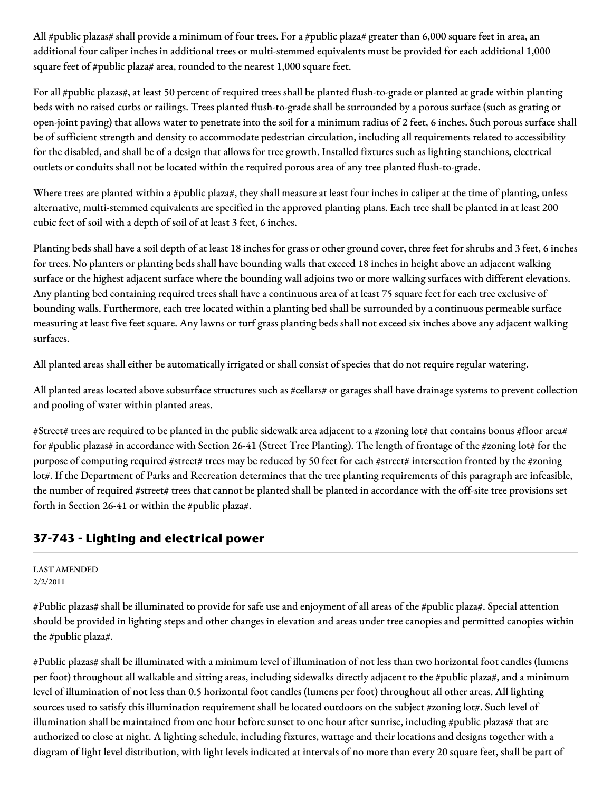All #public plazas# shall provide a minimum of four trees. For a #public plaza# greater than 6,000 square feet in area, an additional four caliper inches in additional trees or multi-stemmed equivalents must be provided for each additional 1,000 square feet of #public plaza# area, rounded to the nearest 1,000 square feet.

For all #public plazas#, at least 50 percent of required trees shall be planted flush-to-grade or planted at grade within planting beds with no raised curbs or railings. Trees planted flush-to-grade shall be surrounded by a porous surface (such as grating or open-joint paving) that allows water to penetrate into the soil for a minimum radius of 2 feet, 6 inches. Such porous surface shall be of sufficient strength and density to accommodate pedestrian circulation, including all requirements related to accessibility for the disabled, and shall be of a design that allows for tree growth. Installed fixtures such as lighting stanchions, electrical outlets or conduits shall not be located within the required porous area of any tree planted flush-to-grade.

Where trees are planted within a #public plaza#, they shall measure at least four inches in caliper at the time of planting, unless alternative, multi-stemmed equivalents are specified in the approved planting plans. Each tree shall be planted in at least 200 cubic feet of soil with a depth of soil of at least 3 feet, 6 inches.

Planting beds shall have a soil depth of at least 18 inches for grass or other ground cover, three feet for shrubs and 3 feet, 6 inches for trees. No planters or planting beds shall have bounding walls that exceed 18 inches in height above an adjacent walking surface or the highest adjacent surface where the bounding wall adjoins two or more walking surfaces with different elevations. Any planting bed containing required trees shall have a continuous area of at least 75 square feet for each tree exclusive of bounding walls. Furthermore, each tree located within a planting bed shall be surrounded by a continuous permeable surface measuring at least five feet square. Any lawns or turf grass planting beds shall not exceed six inches above any adjacent walking surfaces.

All planted areas shall either be automatically irrigated or shall consist of species that do not require regular watering.

All planted areas located above subsurface structures such as #cellars# or garages shall have drainage systems to prevent collection and pooling of water within planted areas.

#Street# trees are required to be planted in the public sidewalk area adjacent to a #zoning lot# that contains bonus #floor area# for #public plazas# in accordance with Section 26-41 (Street Tree Planting). The length of frontage of the #zoning lot# for the purpose of computing required #street# trees may be reduced by 50 feet for each #street# intersection fronted by the #zoning lot#. If the Department of Parks and Recreation determines that the tree planting requirements of this paragraph are infeasible, the number of required #street# trees that cannot be planted shall be planted in accordance with the off-site tree provisions set forth in Section 26-41 or within the #public plaza#.

# **37-743 - Lighting and electrical power**

#### LAST AMENDED 2/2/2011

#Public plazas# shall be illuminated to provide for safe use and enjoyment of all areas of the #public plaza#. Special attention should be provided in lighting steps and other changes in elevation and areas under tree canopies and permitted canopies within the #public plaza#.

#Public plazas# shall be illuminated with a minimum level of illumination of not less than two horizontal foot candles (lumens per foot) throughout all walkable and sitting areas, including sidewalks directly adjacent to the #public plaza#, and a minimum level of illumination of not less than 0.5 horizontal foot candles (lumens per foot) throughout all other areas. All lighting sources used to satisfy this illumination requirement shall be located outdoors on the subject #zoning lot#. Such level of illumination shall be maintained from one hour before sunset to one hour after sunrise, including #public plazas# that are authorized to close at night. A lighting schedule, including fixtures, wattage and their locations and designs together with a diagram of light level distribution, with light levels indicated at intervals of no more than every 20 square feet, shall be part of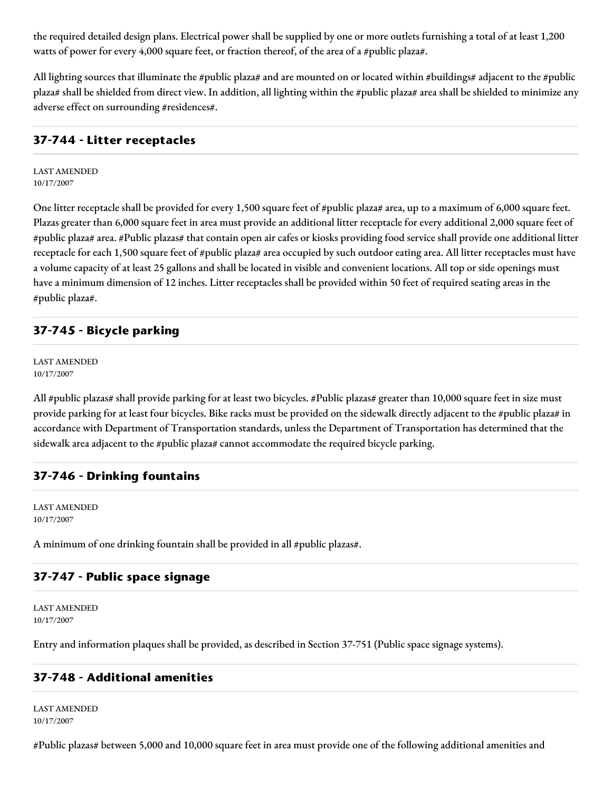the required detailed design plans. Electrical power shall be supplied by one or more outlets furnishing a total of at least 1,200 watts of power for every 4,000 square feet, or fraction thereof, of the area of a #public plaza#.

All lighting sources that illuminate the #public plaza# and are mounted on or located within #buildings# adjacent to the #public plaza# shall be shielded from direct view. In addition, all lighting within the #public plaza# area shall be shielded to minimize any adverse effect on surrounding #residences#.

### **37-744 - Litter receptacles**

LAST AMENDED 10/17/2007

One litter receptacle shall be provided for every 1,500 square feet of #public plaza# area, up to a maximum of 6,000 square feet. Plazas greater than 6,000 square feet in area must provide an additional litter receptacle for every additional 2,000 square feet of #public plaza# area. #Public plazas# that contain open air cafes or kiosks providing food service shall provide one additional litter receptacle for each 1,500 square feet of #public plaza# area occupied by such outdoor eating area. All litter receptacles must have a volume capacity of at least 25 gallons and shall be located in visible and convenient locations. All top or side openings must have a minimum dimension of 12 inches. Litter receptacles shall be provided within 50 feet of required seating areas in the #public plaza#.

### **37-745 - Bicycle parking**

LAST AMENDED 10/17/2007

All #public plazas# shall provide parking for at least two bicycles. #Public plazas# greater than 10,000 square feet in size must provide parking for at least four bicycles. Bike racks must be provided on the sidewalk directly adjacent to the #public plaza# in accordance with Department of Transportation standards, unless the Department of Transportation has determined that the sidewalk area adjacent to the #public plaza# cannot accommodate the required bicycle parking.

### **37-746 - Drinking fountains**

LAST AMENDED 10/17/2007

A minimum of one drinking fountain shall be provided in all #public plazas#.

### **37-747 - Public space signage**

LAST AMENDED 10/17/2007

Entry and information plaques shall be provided, as described in Section 37-751 (Public space signage systems).

### **37-748 - Additional amenities**

LAST AMENDED 10/17/2007

#Public plazas# between 5,000 and 10,000 square feet in area must provide one of the following additional amenities and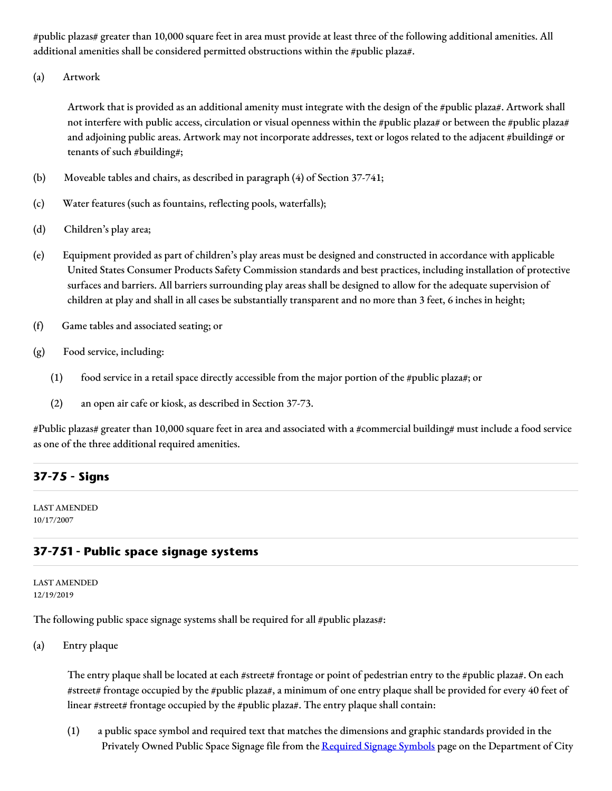#public plazas# greater than 10,000 square feet in area must provide at least three of the following additional amenities. All additional amenities shall be considered permitted obstructions within the #public plaza#.

(a) Artwork

Artwork that is provided as an additional amenity must integrate with the design of the #public plaza#. Artwork shall not interfere with public access, circulation or visual openness within the #public plaza# or between the #public plaza# and adjoining public areas. Artwork may not incorporate addresses, text or logos related to the adjacent #building# or tenants of such #building#;

- (b) Moveable tables and chairs, as described in paragraph (4) of Section 37-741;
- (c) Water features (such as fountains, reflecting pools, waterfalls);
- (d) Children's play area;
- (e) Equipment provided as part of children's play areas must be designed and constructed in accordance with applicable United States Consumer Products Safety Commission standards and best practices, including installation of protective surfaces and barriers. All barriers surrounding play areas shall be designed to allow for the adequate supervision of children at play and shall in all cases be substantially transparent and no more than 3 feet, 6 inches in height;
- (f) Game tables and associated seating; or
- (g) Food service, including:
	- (1) food service in a retail space directly accessible from the major portion of the #public plaza#; or
	- (2) an open air cafe or kiosk, as described in Section 37-73.

#Public plazas# greater than 10,000 square feet in area and associated with a #commercial building# must include a food service as one of the three additional required amenities.

### **37-75 - Signs**

LAST AMENDED 10/17/2007

### **37-751 - Public space signage systems**

LAST AMENDED 12/19/2019

The following public space signage systems shall be required for all #public plazas#:

(a) Entry plaque

The entry plaque shall be located at each #street# frontage or point of pedestrian entry to the #public plaza#. On each #street# frontage occupied by the #public plaza#, a minimum of one entry plaque shall be provided for every 40 feet of linear #street# frontage occupied by the #public plaza#. The entry plaque shall contain:

(1) a public space symbol and required text that matches the dimensions and graphic standards provided in the Privately Owned Public Space Signage file from the [Required](https://www1.nyc.gov/site/planning/zoning/graphic-files.page) Signage Symbols page on the Department of City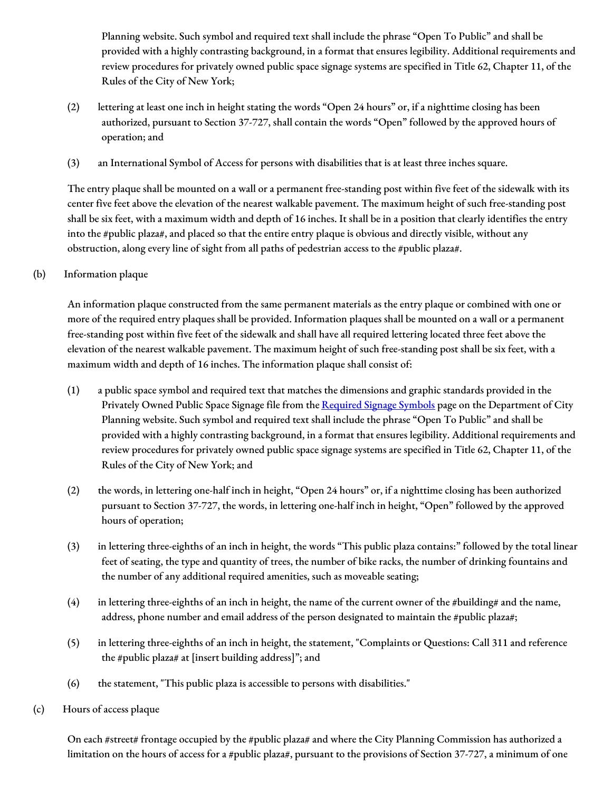Planning website. Such symbol and required text shall include the phrase "Open To Public" and shall be provided with a highly contrasting background, in a format that ensures legibility. Additional requirements and review procedures for privately owned public space signage systems are specified in Title 62, Chapter 11, of the Rules of the City of New York;

- (2) lettering at least one inch in height stating the words "Open 24 hours" or, if a nighttime closing has been authorized, pursuant to Section 37-727, shall contain the words "Open" followed by the approved hours of operation; and
- (3) an International Symbol of Access for persons with disabilities that is at least three inches square.

The entry plaque shall be mounted on a wall or a permanent free-standing post within five feet of the sidewalk with its center five feet above the elevation of the nearest walkable pavement. The maximum height of such free-standing post shall be six feet, with a maximum width and depth of 16 inches. It shall be in a position that clearly identifies the entry into the #public plaza#, and placed so that the entire entry plaque is obvious and directly visible, without any obstruction, along every line of sight from all paths of pedestrian access to the #public plaza#.

(b) Information plaque

An information plaque constructed from the same permanent materials as the entry plaque or combined with one or more of the required entry plaques shall be provided. Information plaques shall be mounted on a wall or a permanent free-standing post within five feet of the sidewalk and shall have all required lettering located three feet above the elevation of the nearest walkable pavement. The maximum height of such free-standing post shall be six feet, with a maximum width and depth of 16 inches. The information plaque shall consist of:

- (1) a public space symbol and required text that matches the dimensions and graphic standards provided in the Privately Owned Public Space Signage file from the [Required](https://www1.nyc.gov/site/planning/zoning/graphic-files.page) Signage Symbols page on the Department of City Planning website. Such symbol and required text shall include the phrase "Open To Public" and shall be provided with a highly contrasting background, in a format that ensures legibility. Additional requirements and review procedures for privately owned public space signage systems are specified in Title 62, Chapter 11, of the Rules of the City of New York; and
- (2) the words, in lettering one-half inch in height, "Open 24 hours" or, if a nighttime closing has been authorized pursuant to Section 37-727, the words, in lettering one-half inch in height, "Open" followed by the approved hours of operation;
- (3) in lettering three-eighths of an inch in height, the words "This public plaza contains:" followed by the total linear feet of seating, the type and quantity of trees, the number of bike racks, the number of drinking fountains and the number of any additional required amenities, such as moveable seating;
- (4) in lettering three-eighths of an inch in height, the name of the current owner of the #building# and the name, address, phone number and email address of the person designated to maintain the #public plaza#;
- (5) in lettering three-eighths of an inch in height, the statement, "Complaints or Questions: Call 311 and reference the #public plaza# at [insert building address]"; and
- (6) the statement, "This public plaza is accessible to persons with disabilities."
- (c) Hours of access plaque

On each #street# frontage occupied by the #public plaza# and where the City Planning Commission has authorized a limitation on the hours of access for a #public plaza#, pursuant to the provisions of Section 37-727, a minimum of one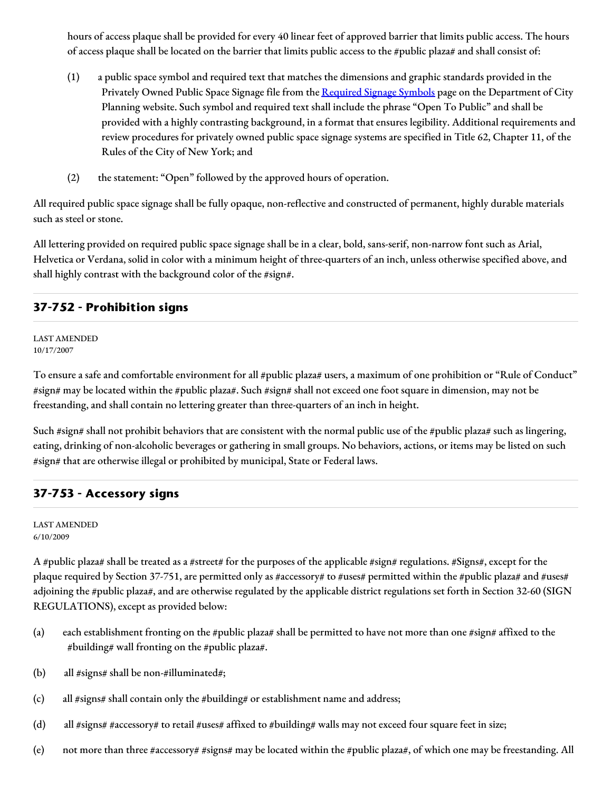hours of access plaque shall be provided for every 40 linear feet of approved barrier that limits public access. The hours of access plaque shall be located on the barrier that limits public access to the #public plaza# and shall consist of:

- (1) a public space symbol and required text that matches the dimensions and graphic standards provided in the Privately Owned Public Space Signage file from the [Required](https://www1.nyc.gov/site/planning/zoning/graphic-files.page) Signage Symbols page on the Department of City Planning website. Such symbol and required text shall include the phrase "Open To Public" and shall be provided with a highly contrasting background, in a format that ensures legibility. Additional requirements and review procedures for privately owned public space signage systems are specified in Title 62, Chapter 11, of the Rules of the City of New York; and
- (2) the statement: "Open" followed by the approved hours of operation.

All required public space signage shall be fully opaque, non-reflective and constructed of permanent, highly durable materials such as steel or stone.

All lettering provided on required public space signage shall be in a clear, bold, sans-serif, non-narrow font such as Arial, Helvetica or Verdana, solid in color with a minimum height of three-quarters of an inch, unless otherwise specified above, and shall highly contrast with the background color of the #sign#.

### **37-752 - Prohibition signs**

LAST AMENDED 10/17/2007

To ensure a safe and comfortable environment for all #public plaza# users, a maximum of one prohibition or "Rule of Conduct" #sign# may be located within the #public plaza#. Such #sign# shall not exceed one foot square in dimension, may not be freestanding, and shall contain no lettering greater than three-quarters of an inch in height.

Such #sign# shall not prohibit behaviors that are consistent with the normal public use of the #public plaza# such as lingering, eating, drinking of non-alcoholic beverages or gathering in small groups. No behaviors, actions, or items may be listed on such #sign# that are otherwise illegal or prohibited by municipal, State or Federal laws.

### **37-753 - Accessory signs**

LAST AMENDED 6/10/2009

A #public plaza# shall be treated as a #street# for the purposes of the applicable #sign# regulations. #Signs#, except for the plaque required by Section 37-751, are permitted only as #accessory# to #uses# permitted within the #public plaza# and #uses# adjoining the #public plaza#, and are otherwise regulated by the applicable district regulations set forth in Section 32-60 (SIGN REGULATIONS), except as provided below:

- (a) each establishment fronting on the #public plaza# shall be permitted to have not more than one #sign# affixed to the #building# wall fronting on the #public plaza#.
- (b) all  $\# signs \# shall$  be non- $\# illuminated \#;$
- (c) all #signs# shall contain only the #building# or establishment name and address;
- (d) all #signs# #accessory# to retail #uses# affixed to #building# walls may not exceed four square feet in size;
- (e) not more than three #accessory# #signs# may be located within the #public plaza#, of which one may be freestanding. All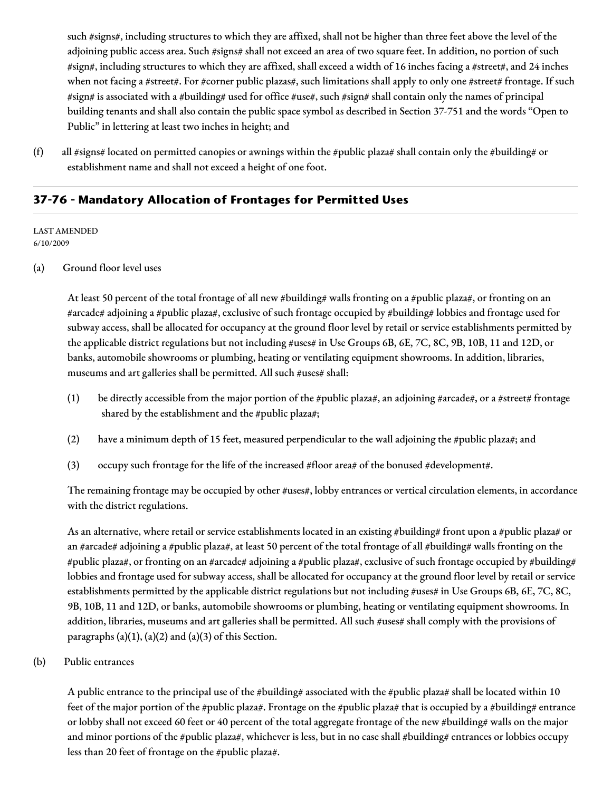such #signs#, including structures to which they are affixed, shall not be higher than three feet above the level of the adjoining public access area. Such #signs# shall not exceed an area of two square feet. In addition, no portion of such #sign#, including structures to which they are affixed, shall exceed a width of 16 inches facing a #street#, and 24 inches when not facing a #street#. For #corner public plazas#, such limitations shall apply to only one #street# frontage. If such #sign# is associated with a #building# used for office #use#, such #sign# shall contain only the names of principal building tenants and shall also contain the public space symbol as described in Section 37-751 and the words "Open to Public" in lettering at least two inches in height; and

(f) all #signs# located on permitted canopies or awnings within the #public plaza# shall contain only the #building# or establishment name and shall not exceed a height of one foot.

### **37-76 - Mandatory Allocation of Frontages for Permitted Uses**

LAST AMENDED 6/10/2009

#### (a) Ground floor level uses

At least 50 percent of the total frontage of all new #building# walls fronting on a #public plaza#, or fronting on an #arcade# adjoining a #public plaza#, exclusive of such frontage occupied by #building# lobbies and frontage used for subway access, shall be allocated for occupancy at the ground floor level by retail or service establishments permitted by the applicable district regulations but not including #uses# in Use Groups 6B, 6E, 7C, 8C, 9B, 10B, 11 and 12D, or banks, automobile showrooms or plumbing, heating or ventilating equipment showrooms. In addition, libraries, museums and art galleries shall be permitted. All such #uses# shall:

- (1) be directly accessible from the major portion of the #public plaza#, an adjoining #arcade#, or a #street# frontage shared by the establishment and the #public plaza#;
- (2) have a minimum depth of 15 feet, measured perpendicular to the wall adjoining the #public plaza#; and
- (3) occupy such frontage for the life of the increased #floor area# of the bonused #development#.

The remaining frontage may be occupied by other #uses#, lobby entrances or vertical circulation elements, in accordance with the district regulations.

As an alternative, where retail or service establishments located in an existing #building# front upon a #public plaza# or an #arcade# adjoining a #public plaza#, at least 50 percent of the total frontage of all #building# walls fronting on the #public plaza#, or fronting on an #arcade# adjoining a #public plaza#, exclusive of such frontage occupied by #building# lobbies and frontage used for subway access, shall be allocated for occupancy at the ground floor level by retail or service establishments permitted by the applicable district regulations but not including #uses# in Use Groups 6B, 6E, 7C, 8C, 9B, 10B, 11 and 12D, or banks, automobile showrooms or plumbing, heating or ventilating equipment showrooms. In addition, libraries, museums and art galleries shall be permitted. All such #uses# shall comply with the provisions of paragraphs  $(a)(1)$ ,  $(a)(2)$  and  $(a)(3)$  of this Section.

(b) Public entrances

A public entrance to the principal use of the #building# associated with the #public plaza# shall be located within 10 feet of the major portion of the #public plaza#. Frontage on the #public plaza# that is occupied by a #building# entrance or lobby shall not exceed 60 feet or 40 percent of the total aggregate frontage of the new #building# walls on the major and minor portions of the #public plaza#, whichever is less, but in no case shall #building# entrances or lobbies occupy less than 20 feet of frontage on the #public plaza#.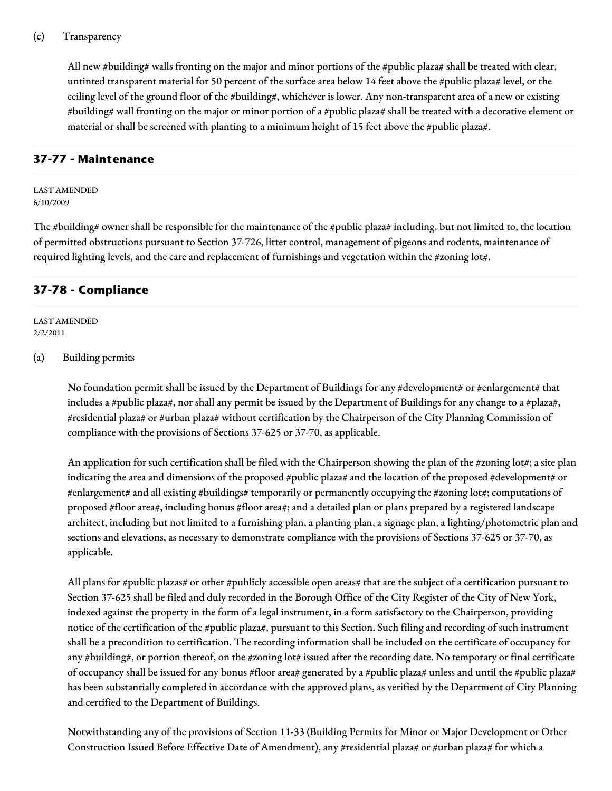All new #building# walls fronting on the major and minor portions of the #public plaza# shall be treated with clear, untinted transparent material for 50 percent of the surface area below 14 feet above the #public plaza# level, or the ceiling level of the ground floor of the #building#, whichever is lower. Any non-transparent area of a new or existing #building# wall fronting on the major or minor portion of a #public plaza# shall be treated with a decorative element or material or shall be screened with planting to a minimum height of 15 feet above the #public plaza#.

### **37-77 - Maintenance**

LAST AMENDED 6/10/2009

The #building# owner shall be responsible for the maintenance of the #public plaza# including, but not limited to, the location of permitted obstructions pursuant to Section 37-726, litter control, management of pigeons and rodents, maintenance of required lighting levels, and the care and replacement of furnishings and vegetation within the #zoning lot#.

### **37-78 - Compliance**

LAST AMENDED 2/2/2011

#### (a) Building permits

No foundation permit shall be issued by the Department of Buildings for any #development# or #enlargement# that includes a #public plaza#, nor shall any permit be issued by the Department of Buildings for any change to a #plaza#, #residential plaza# or #urban plaza# without certification by the Chairperson of the City Planning Commission of compliance with the provisions of Sections 37-625 or 37-70, as applicable.

An application for such certification shall be filed with the Chairperson showing the plan of the #zoning lot#; a site plan indicating the area and dimensions of the proposed #public plaza# and the location of the proposed #development# or #enlargement# and all existing #buildings# temporarily or permanently occupying the #zoning lot#; computations of proposed #floor area#, including bonus #floor area#; and a detailed plan or plans prepared by a registered landscape architect, including but not limited to a furnishing plan, a planting plan, a signage plan, a lighting/photometric plan and sections and elevations, as necessary to demonstrate compliance with the provisions of Sections 37-625 or 37-70, as applicable.

All plans for #public plazas# or other #publicly accessible open areas# that are the subject of a certification pursuant to Section 37-625 shall be filed and duly recorded in the Borough Office of the City Register of the City of New York, indexed against the property in the form of a legal instrument, in a form satisfactory to the Chairperson, providing notice of the certification of the #public plaza#, pursuant to this Section. Such filing and recording of such instrument shall be a precondition to certification. The recording information shall be included on the certificate of occupancy for any #building#, or portion thereof, on the #zoning lot# issued after the recording date. No temporary or final certificate of occupancy shall be issued for any bonus #floor area# generated by a #public plaza# unless and until the #public plaza# has been substantially completed in accordance with the approved plans, as verified by the Department of City Planning and certified to the Department of Buildings.

Notwithstanding any of the provisions of Section 11-33 (Building Permits for Minor or Major Development or Other Construction Issued Before Effective Date of Amendment), any #residential plaza# or #urban plaza# for which a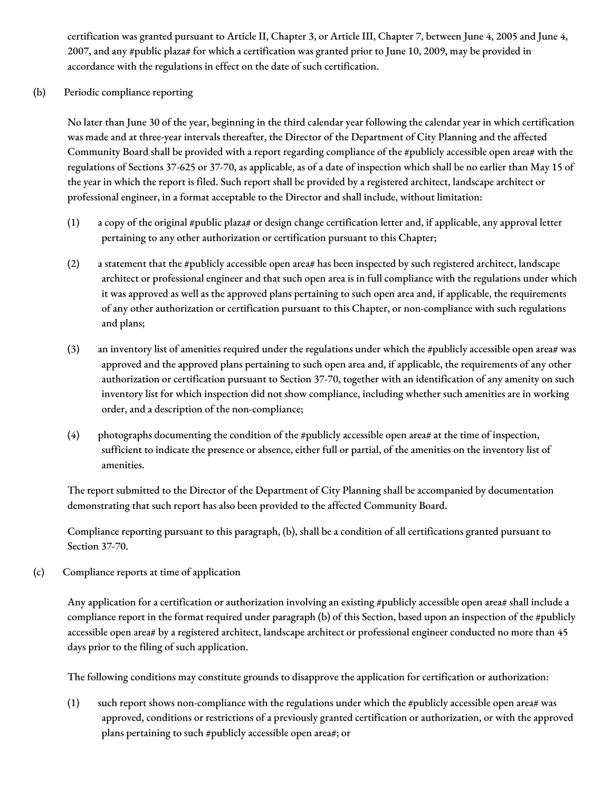certification was granted pursuant to Article II, Chapter 3, or Article III, Chapter 7, between June 4, 2005 and June 4, 2007, and any #public plaza# for which a certification was granted prior to June 10, 2009, may be provided in accordance with the regulations in effect on the date of such certification.

(b) Periodic compliance reporting

No later than June 30 of the year, beginning in the third calendar year following the calendar year in which certification was made and at three-year intervals thereafter, the Director of the Department of City Planning and the affected Community Board shall be provided with a report regarding compliance of the #publicly accessible open area# with the regulations of Sections 37-625 or 37-70, as applicable, as of a date of inspection which shall be no earlier than May 15 of the year in which the report is filed. Such report shall be provided by a registered architect, landscape architect or professional engineer, in a format acceptable to the Director and shall include, without limitation:

- (1) a copy of the original #public plaza# or design change certification letter and, if applicable, any approval letter pertaining to any other authorization or certification pursuant to this Chapter;
- (2) a statement that the #publicly accessible open area# has been inspected by such registered architect, landscape architect or professional engineer and that such open area is in full compliance with the regulations under which it was approved as well as the approved plans pertaining to such open area and, if applicable, the requirements of any other authorization or certification pursuant to this Chapter, or non-compliance with such regulations and plans;
- (3) an inventory list of amenities required under the regulations under which the #publicly accessible open area# was approved and the approved plans pertaining to such open area and, if applicable, the requirements of any other authorization or certification pursuant to Section 37-70, together with an identification of any amenity on such inventory list for which inspection did not show compliance, including whether such amenities are in working order, and a description of the non-compliance;
- (4) photographs documenting the condition of the #publicly accessible open area# at the time of inspection, sufficient to indicate the presence or absence, either full or partial, of the amenities on the inventory list of amenities.

The report submitted to the Director of the Department of City Planning shall be accompanied by documentation demonstrating that such report has also been provided to the affected Community Board.

Compliance reporting pursuant to this paragraph, (b), shall be a condition of all certifications granted pursuant to Section 37-70.

(c) Compliance reports at time of application

Any application for a certification or authorization involving an existing #publicly accessible open area# shall include a compliance report in the format required under paragraph (b) of this Section, based upon an inspection of the #publicly accessible open area# by a registered architect, landscape architect or professional engineer conducted no more than 45 days prior to the filing of such application.

The following conditions may constitute grounds to disapprove the application for certification or authorization:

(1) such report shows non-compliance with the regulations under which the #publicly accessible open area# was approved, conditions or restrictions of a previously granted certification or authorization, or with the approved plans pertaining to such #publicly accessible open area#; or